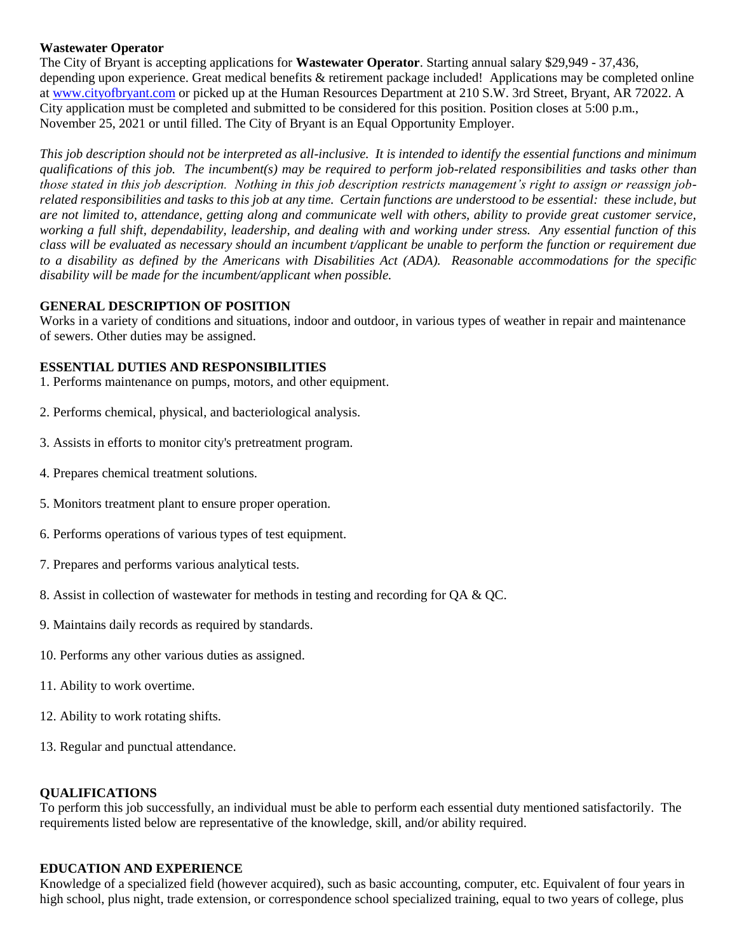## **Wastewater Operator**

The City of Bryant is accepting applications for **Wastewater Operator**. Starting annual salary \$29,949 - 37,436, depending upon experience. Great medical benefits & retirement package included! Applications may be completed online at [www.cityofbryant.com](http://www.cityofbryant.com/) or picked up at the Human Resources Department at 210 S.W. 3rd Street, Bryant, AR 72022. A City application must be completed and submitted to be considered for this position. Position closes at 5:00 p.m., November 25, 2021 or until filled. The City of Bryant is an Equal Opportunity Employer.

*This job description should not be interpreted as all-inclusive. It is intended to identify the essential functions and minimum qualifications of this job. The incumbent(s) may be required to perform job-related responsibilities and tasks other than those stated in this job description. Nothing in this job description restricts management's right to assign or reassign jobrelated responsibilities and tasks to this job at any time. Certain functions are understood to be essential: these include, but are not limited to, attendance, getting along and communicate well with others, ability to provide great customer service, working a full shift, dependability, leadership, and dealing with and working under stress. Any essential function of this class will be evaluated as necessary should an incumbent t/applicant be unable to perform the function or requirement due to a disability as defined by the Americans with Disabilities Act (ADA). Reasonable accommodations for the specific disability will be made for the incumbent/applicant when possible.*

## **GENERAL DESCRIPTION OF POSITION**

Works in a variety of conditions and situations, indoor and outdoor, in various types of weather in repair and maintenance of sewers. Other duties may be assigned.

## **ESSENTIAL DUTIES AND RESPONSIBILITIES**

- 1. Performs maintenance on pumps, motors, and other equipment.
- 2. Performs chemical, physical, and bacteriological analysis.
- 3. Assists in efforts to monitor city's pretreatment program.
- 4. Prepares chemical treatment solutions.
- 5. Monitors treatment plant to ensure proper operation.
- 6. Performs operations of various types of test equipment.
- 7. Prepares and performs various analytical tests.
- 8. Assist in collection of wastewater for methods in testing and recording for QA & QC.
- 9. Maintains daily records as required by standards.
- 10. Performs any other various duties as assigned.
- 11. Ability to work overtime.
- 12. Ability to work rotating shifts.
- 13. Regular and punctual attendance.

## **QUALIFICATIONS**

To perform this job successfully, an individual must be able to perform each essential duty mentioned satisfactorily. The requirements listed below are representative of the knowledge, skill, and/or ability required.

#### **EDUCATION AND EXPERIENCE**

Knowledge of a specialized field (however acquired), such as basic accounting, computer, etc. Equivalent of four years in high school, plus night, trade extension, or correspondence school specialized training, equal to two years of college, plus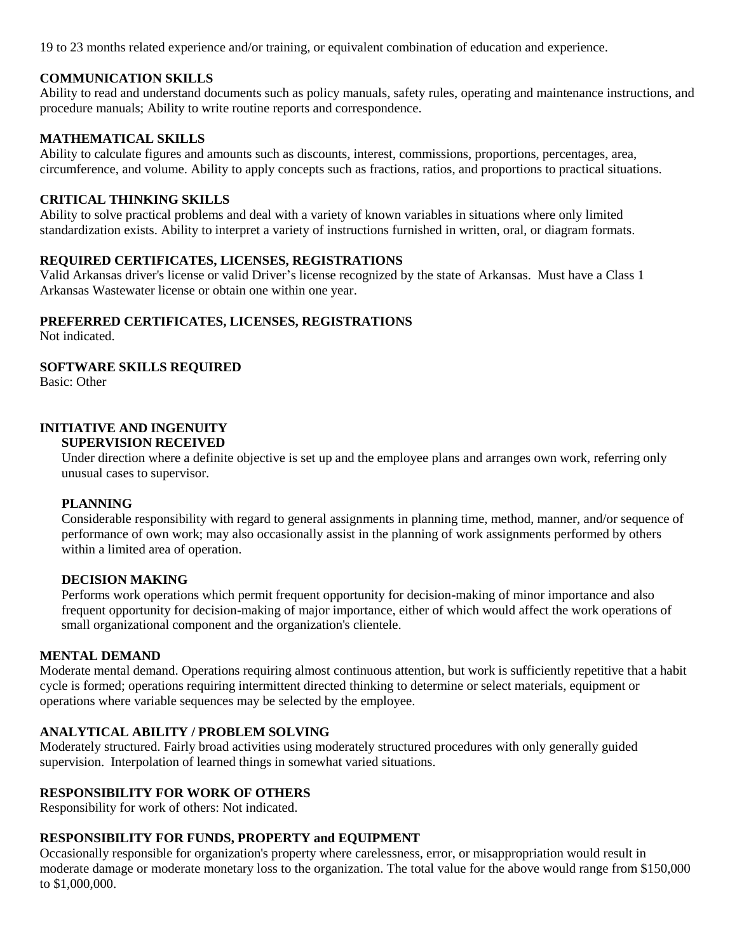19 to 23 months related experience and/or training, or equivalent combination of education and experience.

## **COMMUNICATION SKILLS**

Ability to read and understand documents such as policy manuals, safety rules, operating and maintenance instructions, and procedure manuals; Ability to write routine reports and correspondence.

# **MATHEMATICAL SKILLS**

Ability to calculate figures and amounts such as discounts, interest, commissions, proportions, percentages, area, circumference, and volume. Ability to apply concepts such as fractions, ratios, and proportions to practical situations.

## **CRITICAL THINKING SKILLS**

Ability to solve practical problems and deal with a variety of known variables in situations where only limited standardization exists. Ability to interpret a variety of instructions furnished in written, oral, or diagram formats.

## **REQUIRED CERTIFICATES, LICENSES, REGISTRATIONS**

Valid Arkansas driver's license or valid Driver's license recognized by the state of Arkansas. Must have a Class 1 Arkansas Wastewater license or obtain one within one year.

## **PREFERRED CERTIFICATES, LICENSES, REGISTRATIONS**

Not indicated.

## **SOFTWARE SKILLS REQUIRED**

Basic: Other

# **INITIATIVE AND INGENUITY**

# **SUPERVISION RECEIVED**

Under direction where a definite objective is set up and the employee plans and arranges own work, referring only unusual cases to supervisor.

#### **PLANNING**

Considerable responsibility with regard to general assignments in planning time, method, manner, and/or sequence of performance of own work; may also occasionally assist in the planning of work assignments performed by others within a limited area of operation.

#### **DECISION MAKING**

Performs work operations which permit frequent opportunity for decision-making of minor importance and also frequent opportunity for decision-making of major importance, either of which would affect the work operations of small organizational component and the organization's clientele.

## **MENTAL DEMAND**

Moderate mental demand. Operations requiring almost continuous attention, but work is sufficiently repetitive that a habit cycle is formed; operations requiring intermittent directed thinking to determine or select materials, equipment or operations where variable sequences may be selected by the employee.

## **ANALYTICAL ABILITY / PROBLEM SOLVING**

Moderately structured. Fairly broad activities using moderately structured procedures with only generally guided supervision. Interpolation of learned things in somewhat varied situations.

## **RESPONSIBILITY FOR WORK OF OTHERS**

Responsibility for work of others: Not indicated.

#### **RESPONSIBILITY FOR FUNDS, PROPERTY and EQUIPMENT**

Occasionally responsible for organization's property where carelessness, error, or misappropriation would result in moderate damage or moderate monetary loss to the organization. The total value for the above would range from \$150,000 to \$1,000,000.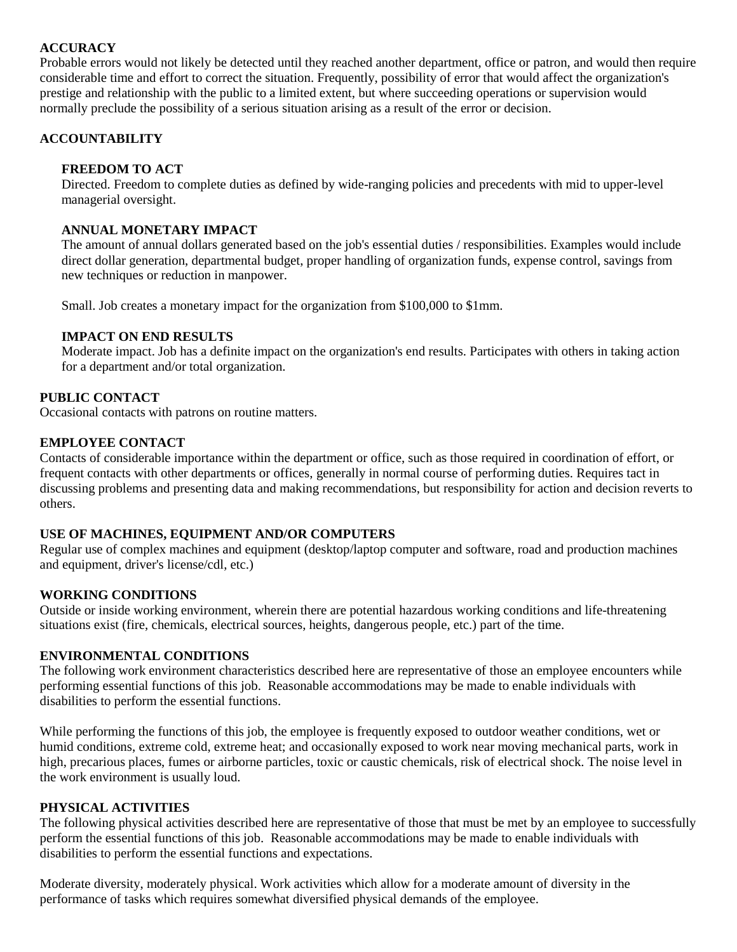# **ACCURACY**

Probable errors would not likely be detected until they reached another department, office or patron, and would then require considerable time and effort to correct the situation. Frequently, possibility of error that would affect the organization's prestige and relationship with the public to a limited extent, but where succeeding operations or supervision would normally preclude the possibility of a serious situation arising as a result of the error or decision.

# **ACCOUNTABILITY**

## **FREEDOM TO ACT**

Directed. Freedom to complete duties as defined by wide-ranging policies and precedents with mid to upper-level managerial oversight.

## **ANNUAL MONETARY IMPACT**

The amount of annual dollars generated based on the job's essential duties / responsibilities. Examples would include direct dollar generation, departmental budget, proper handling of organization funds, expense control, savings from new techniques or reduction in manpower.

Small. Job creates a monetary impact for the organization from \$100,000 to \$1mm.

## **IMPACT ON END RESULTS**

Moderate impact. Job has a definite impact on the organization's end results. Participates with others in taking action for a department and/or total organization.

#### **PUBLIC CONTACT**

Occasional contacts with patrons on routine matters.

## **EMPLOYEE CONTACT**

Contacts of considerable importance within the department or office, such as those required in coordination of effort, or frequent contacts with other departments or offices, generally in normal course of performing duties. Requires tact in discussing problems and presenting data and making recommendations, but responsibility for action and decision reverts to others.

# **USE OF MACHINES, EQUIPMENT AND/OR COMPUTERS**

Regular use of complex machines and equipment (desktop/laptop computer and software, road and production machines and equipment, driver's license/cdl, etc.)

## **WORKING CONDITIONS**

Outside or inside working environment, wherein there are potential hazardous working conditions and life-threatening situations exist (fire, chemicals, electrical sources, heights, dangerous people, etc.) part of the time.

#### **ENVIRONMENTAL CONDITIONS**

The following work environment characteristics described here are representative of those an employee encounters while performing essential functions of this job. Reasonable accommodations may be made to enable individuals with disabilities to perform the essential functions.

While performing the functions of this job, the employee is frequently exposed to outdoor weather conditions, wet or humid conditions, extreme cold, extreme heat; and occasionally exposed to work near moving mechanical parts, work in high, precarious places, fumes or airborne particles, toxic or caustic chemicals, risk of electrical shock. The noise level in the work environment is usually loud.

#### **PHYSICAL ACTIVITIES**

The following physical activities described here are representative of those that must be met by an employee to successfully perform the essential functions of this job. Reasonable accommodations may be made to enable individuals with disabilities to perform the essential functions and expectations.

Moderate diversity, moderately physical. Work activities which allow for a moderate amount of diversity in the performance of tasks which requires somewhat diversified physical demands of the employee.